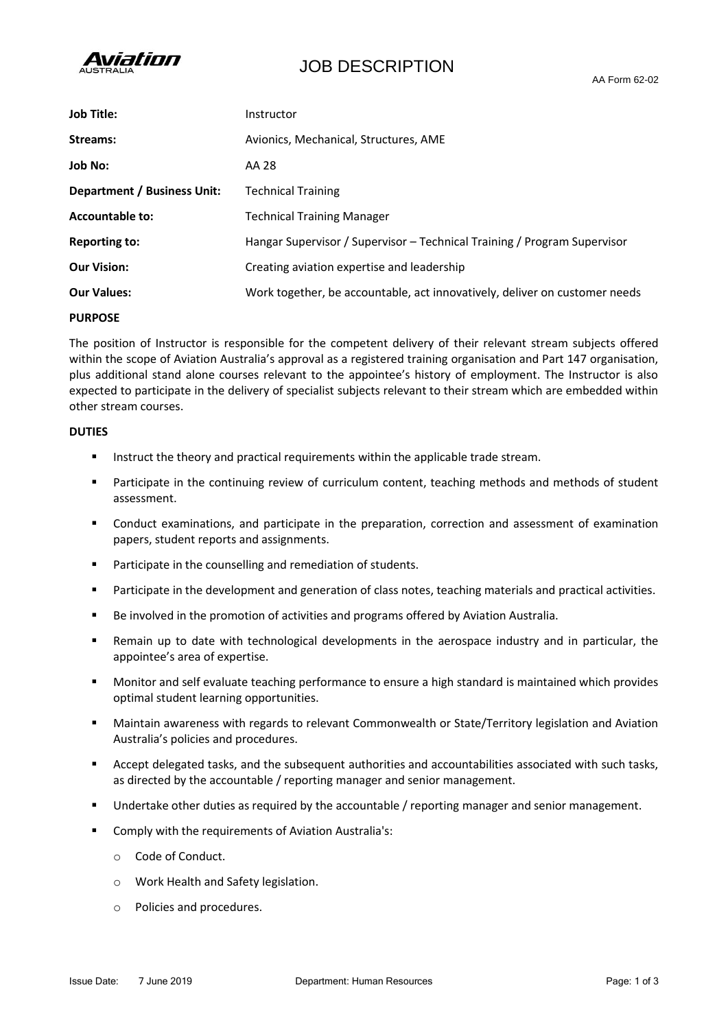

# JOB DESCRIPTION

AA Form 62-02

| <b>Job Title:</b>                  | Instructor                                                                 |  |  |
|------------------------------------|----------------------------------------------------------------------------|--|--|
| Streams:                           | Avionics, Mechanical, Structures, AME                                      |  |  |
| Job No:                            | AA 28                                                                      |  |  |
| <b>Department / Business Unit:</b> | <b>Technical Training</b>                                                  |  |  |
| <b>Accountable to:</b>             | <b>Technical Training Manager</b>                                          |  |  |
| <b>Reporting to:</b>               | Hangar Supervisor / Supervisor – Technical Training / Program Supervisor   |  |  |
| <b>Our Vision:</b>                 | Creating aviation expertise and leadership                                 |  |  |
| <b>Our Values:</b>                 | Work together, be accountable, act innovatively, deliver on customer needs |  |  |
|                                    |                                                                            |  |  |

#### **PURPOSE**

The position of Instructor is responsible for the competent delivery of their relevant stream subjects offered within the scope of Aviation Australia's approval as a registered training organisation and Part 147 organisation, plus additional stand alone courses relevant to the appointee's history of employment. The Instructor is also expected to participate in the delivery of specialist subjects relevant to their stream which are embedded within other stream courses.

#### **DUTIES**

- **E** Instruct the theory and practical requirements within the applicable trade stream.
- Participate in the continuing review of curriculum content, teaching methods and methods of student assessment.
- Conduct examinations, and participate in the preparation, correction and assessment of examination papers, student reports and assignments.
- Participate in the counselling and remediation of students.
- Participate in the development and generation of class notes, teaching materials and practical activities.
- Be involved in the promotion of activities and programs offered by Aviation Australia.
- Remain up to date with technological developments in the aerospace industry and in particular, the appointee's area of expertise.
- Monitor and self evaluate teaching performance to ensure a high standard is maintained which provides optimal student learning opportunities.
- Maintain awareness with regards to relevant Commonwealth or State/Territory legislation and Aviation Australia's policies and procedures.
- Accept delegated tasks, and the subsequent authorities and accountabilities associated with such tasks, as directed by the accountable / reporting manager and senior management.
- Undertake other duties as required by the accountable / reporting manager and senior management.
- Comply with the requirements of Aviation Australia's:
	- o Code of Conduct.
	- o Work Health and Safety legislation.
	- o Policies and procedures.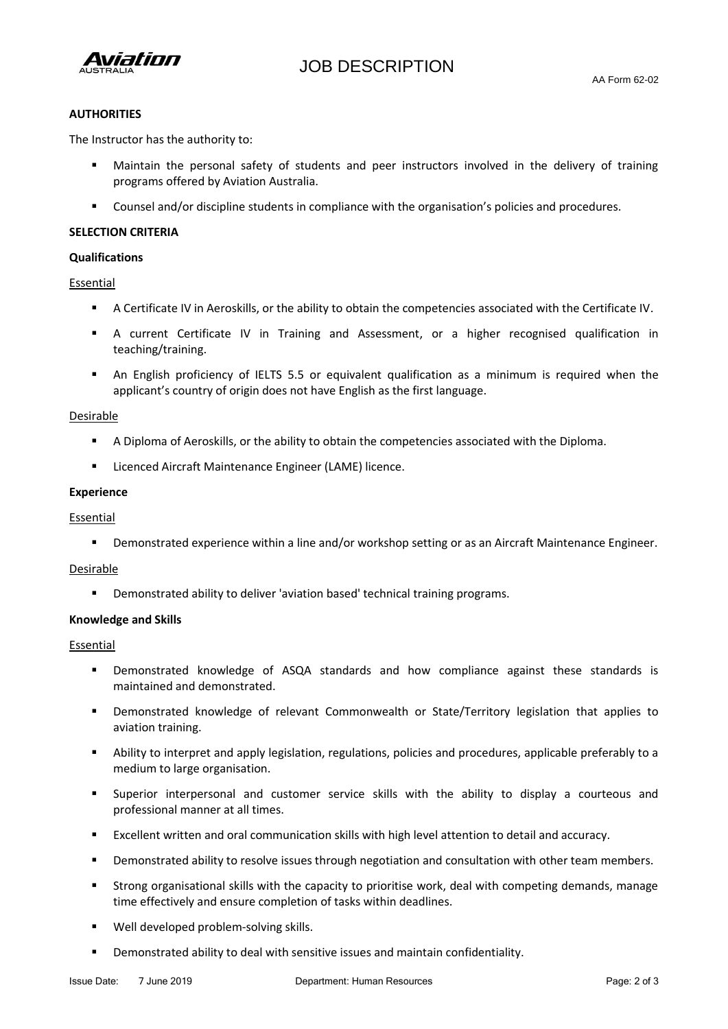

## JOB DESCRIPTION

## **AUTHORITIES**

The Instructor has the authority to:

- Maintain the personal safety of students and peer instructors involved in the delivery of training programs offered by Aviation Australia.
- Counsel and/or discipline students in compliance with the organisation's policies and procedures.

## **SELECTION CRITERIA**

#### **Qualifications**

Essential

- A Certificate IV in Aeroskills, or the ability to obtain the competencies associated with the Certificate IV.
- A current Certificate IV in Training and Assessment, or a higher recognised qualification in teaching/training.
- An English proficiency of IELTS 5.5 or equivalent qualification as a minimum is required when the applicant's country of origin does not have English as the first language.

#### Desirable

- A Diploma of Aeroskills, or the ability to obtain the competencies associated with the Diploma.
- Licenced Aircraft Maintenance Engineer (LAME) licence.

#### **Experience**

## Essential

▪ Demonstrated experience within a line and/or workshop setting or as an Aircraft Maintenance Engineer.

### Desirable

■ Demonstrated ability to deliver 'aviation based' technical training programs.

#### **Knowledge and Skills**

#### Essential

- Demonstrated knowledge of ASQA standards and how compliance against these standards is maintained and demonstrated.
- Demonstrated knowledge of relevant Commonwealth or State/Territory legislation that applies to aviation training.
- Ability to interpret and apply legislation, regulations, policies and procedures, applicable preferably to a medium to large organisation.
- Superior interpersonal and customer service skills with the ability to display a courteous and professional manner at all times.
- Excellent written and oral communication skills with high level attention to detail and accuracy.
- **•** Demonstrated ability to resolve issues through negotiation and consultation with other team members.
- Strong organisational skills with the capacity to prioritise work, deal with competing demands, manage time effectively and ensure completion of tasks within deadlines.
- Well developed problem-solving skills.
- **•** Demonstrated ability to deal with sensitive issues and maintain confidentiality.